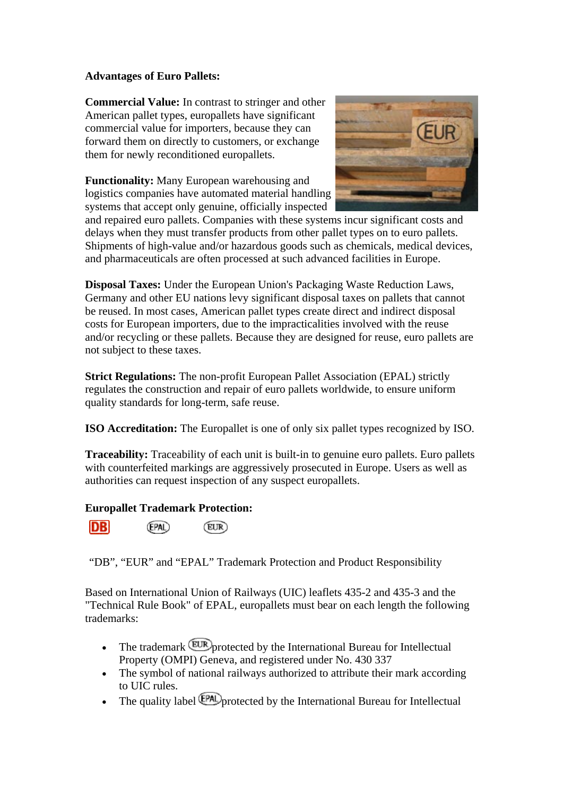## **Advantages of Euro Pallets:**

**Commercial Value:** In contrast to stringer and other American pallet types, europallets have significant commercial value for importers, because they can forward them on directly to customers, or exchange them for newly reconditioned europallets.

**Functionality:** Many European warehousing and logistics companies have automated material handling systems that accept only genuine, officially inspected



and repaired euro pallets. Companies with these systems incur significant costs and delays when they must transfer products from other pallet types on to euro pallets. Shipments of high-value and/or hazardous goods such as chemicals, medical devices, and pharmaceuticals are often processed at such advanced facilities in Europe.

**Disposal Taxes:** Under the European Union's Packaging Waste Reduction Laws, Germany and other EU nations levy significant disposal taxes on pallets that cannot be reused. In most cases, American pallet types create direct and indirect disposal costs for European importers, due to the impracticalities involved with the reuse and/or recycling or these pallets. Because they are designed for reuse, euro pallets are not subject to these taxes.

**Strict Regulations:** The non-profit European Pallet Association (EPAL) strictly regulates the construction and repair of euro pallets worldwide, to ensure uniform quality standards for long-term, safe reuse.

**ISO Accreditation:** The Europallet is one of only six pallet types recognized by ISO.

**Traceability:** Traceability of each unit is built-in to genuine euro pallets. Euro pallets with counterfeited markings are aggressively prosecuted in Europe. Users as well as authorities can request inspection of any suspect europallets.

## **Europallet Trademark Protection:**

**DB** (EPAL) (EUR)

"DB", "EUR" and "EPAL" Trademark Protection and Product Responsibility

Based on International Union of Railways (UIC) leaflets 435-2 and 435-3 and the "Technical Rule Book" of EPAL, europallets must bear on each length the following trademarks:

- The trademark EUR protected by the International Bureau for Intellectual Property (OMPI) Geneva, and registered under No. 430 337
- The symbol of national railways authorized to attribute their mark according to UIC rules.
- The quality label *EPAD* protected by the International Bureau for Intellectual